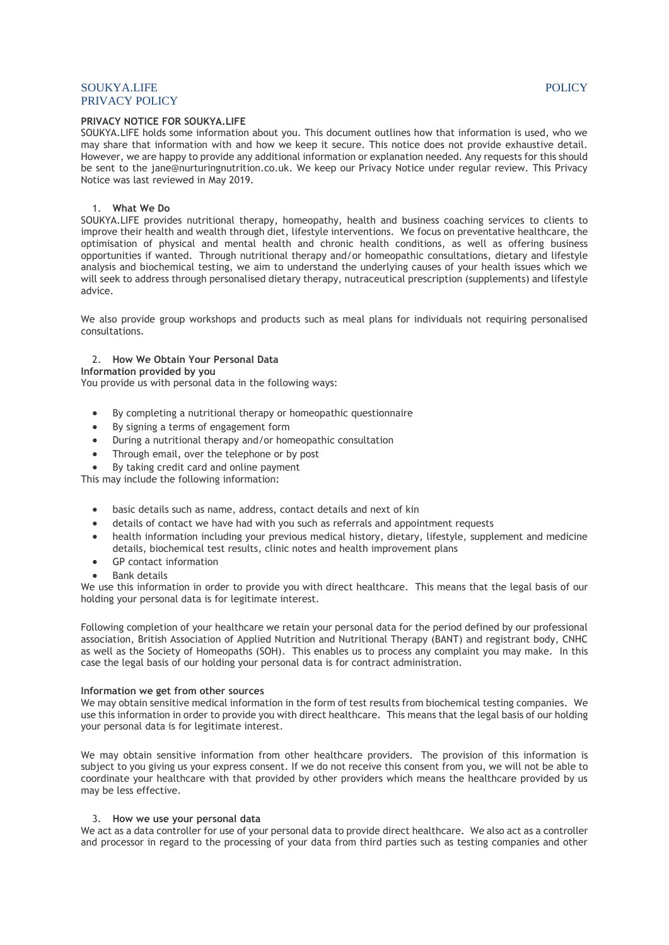# SOUKYA.LIFE POLICY PRIVACY POLICY

# **PRIVACY NOTICE FOR SOUKYA.LIFE**

SOUKYA.LIFE holds some information about you. This document outlines how that information is used, who we may share that information with and how we keep it secure. This notice does not provide exhaustive detail. However, we are happy to provide any additional information or explanation needed. Any requests for this should be sent to the jane@nurturingnutrition.co.uk. We keep our Privacy Notice under regular review. This Privacy Notice was last reviewed in May 2019.

### 1. **What We Do**

SOUKYA.LIFE provides nutritional therapy, homeopathy, health and business coaching services to clients to improve their health and wealth through diet, lifestyle interventions. We focus on preventative healthcare, the optimisation of physical and mental health and chronic health conditions, as well as offering business opportunities if wanted. Through nutritional therapy and/or homeopathic consultations, dietary and lifestyle analysis and biochemical testing, we aim to understand the underlying causes of your health issues which we will seek to address through personalised dietary therapy, nutraceutical prescription (supplements) and lifestyle advice.

We also provide group workshops and products such as meal plans for individuals not requiring personalised consultations.

# 2. **How We Obtain Your Personal Data**

**Information provided by you**

You provide us with personal data in the following ways:

- By completing a nutritional therapy or homeopathic questionnaire
- By signing a terms of engagement form
- During a nutritional therapy and/or homeopathic consultation
- Through email, over the telephone or by post
- By taking credit card and online payment

This may include the following information:

- basic details such as name, address, contact details and next of kin
- details of contact we have had with you such as referrals and appointment requests
- health information including your previous medical history, dietary, lifestyle, supplement and medicine details, biochemical test results, clinic notes and health improvement plans
- GP contact information
- Bank details

We use this information in order to provide you with direct healthcare. This means that the legal basis of our holding your personal data is for legitimate interest.

Following completion of your healthcare we retain your personal data for the period defined by our professional association, British Association of Applied Nutrition and Nutritional Therapy (BANT) and registrant body, CNHC as well as the Society of Homeopaths (SOH). This enables us to process any complaint you may make. In this case the legal basis of our holding your personal data is for contract administration.

# **Information we get from other sources**

We may obtain sensitive medical information in the form of test results from biochemical testing companies. We use this information in order to provide you with direct healthcare. This means that the legal basis of our holding your personal data is for legitimate interest.

We may obtain sensitive information from other healthcare providers. The provision of this information is subject to you giving us your express consent. If we do not receive this consent from you, we will not be able to coordinate your healthcare with that provided by other providers which means the healthcare provided by us may be less effective.

# 3. **How we use your personal data**

We act as a data controller for use of your personal data to provide direct healthcare. We also act as a controller and processor in regard to the processing of your data from third parties such as testing companies and other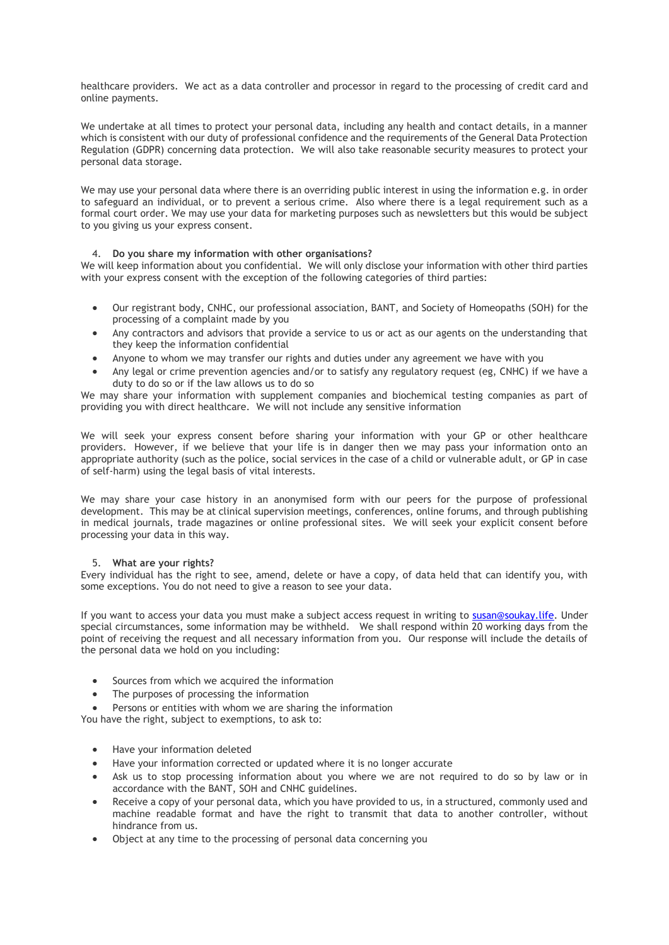healthcare providers. We act as a data controller and processor in regard to the processing of credit card and online payments.

We undertake at all times to protect your personal data, including any health and contact details, in a manner which is consistent with our duty of professional confidence and the requirements of the General Data Protection Regulation (GDPR) concerning data protection. We will also take reasonable security measures to protect your personal data storage.

We may use your personal data where there is an overriding public interest in using the information e.g. in order to safeguard an individual, or to prevent a serious crime. Also where there is a legal requirement such as a formal court order. We may use your data for marketing purposes such as newsletters but this would be subject to you giving us your express consent.

# 4. **Do you share my information with other organisations?**

We will keep information about you confidential. We will only disclose your information with other third parties with your express consent with the exception of the following categories of third parties:

- Our registrant body, CNHC, our professional association, BANT, and Society of Homeopaths (SOH) for the processing of a complaint made by you
- Any contractors and advisors that provide a service to us or act as our agents on the understanding that they keep the information confidential
- Anyone to whom we may transfer our rights and duties under any agreement we have with you
- Any legal or crime prevention agencies and/or to satisfy any regulatory request (eg, CNHC) if we have a duty to do so or if the law allows us to do so

We may share your information with supplement companies and biochemical testing companies as part of providing you with direct healthcare. We will not include any sensitive information

We will seek your express consent before sharing your information with your GP or other healthcare providers. However, if we believe that your life is in danger then we may pass your information onto an appropriate authority (such as the police, social services in the case of a child or vulnerable adult, or GP in case of self-harm) using the legal basis of vital interests.

We may share your case history in an anonymised form with our peers for the purpose of professional development. This may be at clinical supervision meetings, conferences, online forums, and through publishing in medical journals, trade magazines or online professional sites. We will seek your explicit consent before processing your data in this way.

# 5. **What are your rights?**

Every individual has the right to see, amend, delete or have a copy, of data held that can identify you, with some exceptions. You do not need to give a reason to see your data.

If you want to access your data you must make a subject access request in writing to [susan@soukay.life.](mailto:susan@soukay.life) Under special circumstances, some information may be withheld. We shall respond within 20 working days from the point of receiving the request and all necessary information from you. Our response will include the details of the personal data we hold on you including:

- Sources from which we acquired the information
- The purposes of processing the information

Persons or entities with whom we are sharing the information

You have the right, subject to exemptions, to ask to:

- Have your information deleted
- Have your information corrected or updated where it is no longer accurate
- Ask us to stop processing information about you where we are not required to do so by law or in accordance with the BANT, SOH and CNHC guidelines.
- Receive a copy of your personal data, which you have provided to us, in a structured, commonly used and machine readable format and have the right to transmit that data to another controller, without hindrance from us.
- Object at any time to the processing of personal data concerning you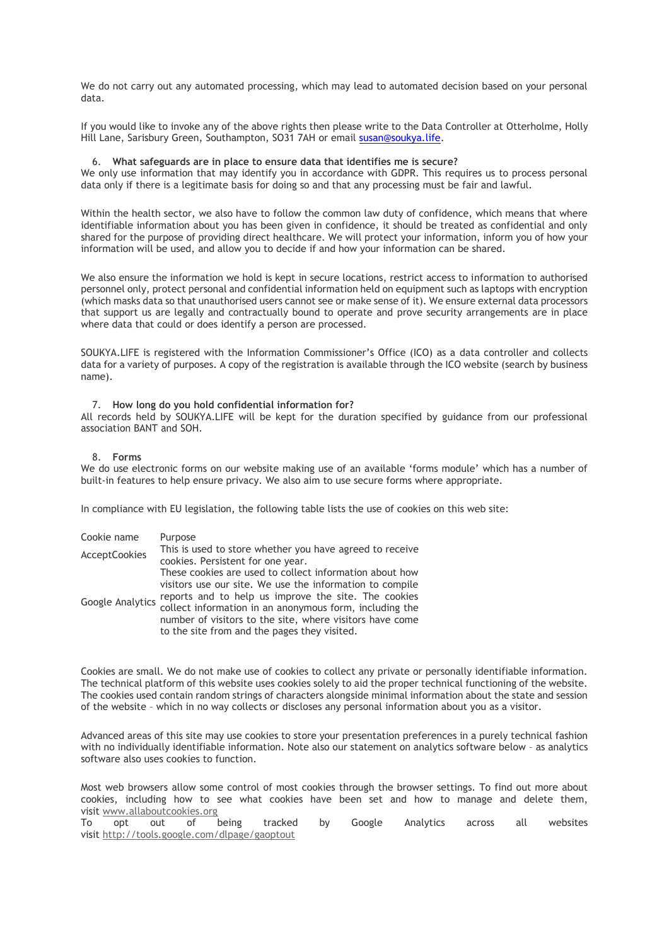We do not carry out any automated processing, which may lead to automated decision based on your personal data.

If you would like to invoke any of the above rights then please write to the Data Controller at Otterholme, Holly Hill Lane, Sarisbury Green, Southampton, SO31 7AH or email [susan@soukya.life.](mailto:susan@soukya.life)

### 6. **What safeguards are in place to ensure data that identifies me is secure?**

We only use information that may identify you in accordance with GDPR. This requires us to process personal data only if there is a legitimate basis for doing so and that any processing must be fair and lawful.

Within the health sector, we also have to follow the common law duty of confidence, which means that where identifiable information about you has been given in confidence, it should be treated as confidential and only shared for the purpose of providing direct healthcare. We will protect your information, inform you of how your information will be used, and allow you to decide if and how your information can be shared.

We also ensure the information we hold is kept in secure locations, restrict access to information to authorised personnel only, protect personal and confidential information held on equipment such as laptops with encryption (which masks data so that unauthorised users cannot see or make sense of it). We ensure external data processors that support us are legally and contractually bound to operate and prove security arrangements are in place where data that could or does identify a person are processed.

SOUKYA.LIFE is registered with the Information Commissioner's Office (ICO) as a data controller and collects data for a variety of purposes. A copy of the registration is available through the ICO website (search by business name).

#### 7. **How long do you hold confidential information for?**

All records held by SOUKYA.LIFE will be kept for the duration specified by guidance from our professional association BANT and SOH.

#### 8. **Forms**

We do use electronic forms on our website making use of an available 'forms module' which has a number of built-in features to help ensure privacy. We also aim to use secure forms where appropriate.

In compliance with EU legislation, the following table lists the use of cookies on this web site:

| Cookie name             | Purpose                                                  |
|-------------------------|----------------------------------------------------------|
| <b>AcceptCookies</b>    | This is used to store whether you have agreed to receive |
|                         | cookies. Persistent for one year.                        |
| <b>Google Analytics</b> | These cookies are used to collect information about how  |
|                         | visitors use our site. We use the information to compile |
|                         | reports and to help us improve the site. The cookies     |
|                         | collect information in an anonymous form, including the  |
|                         | number of visitors to the site, where visitors have come |
|                         | to the site from and the pages they visited.             |

Cookies are small. We do not make use of cookies to collect any private or personally identifiable information. The technical platform of this website uses cookies solely to aid the proper technical functioning of the website. The cookies used contain random strings of characters alongside minimal information about the state and session of the website – which in no way collects or discloses any personal information about you as a visitor.

Advanced areas of this site may use cookies to store your presentation preferences in a purely technical fashion with no individually identifiable information. Note also our statement on analytics software below – as analytics software also uses cookies to function.

Most web browsers allow some control of most cookies through the browser settings. To find out more about cookies, including how to see what cookies have been set and how to manage and delete them, visit [www.allaboutcookies.org](http://www.allaboutcookies.org/)

To opt out of being tracked by Google Analytics across all websites visit <http://tools.google.com/dlpage/gaoptout>